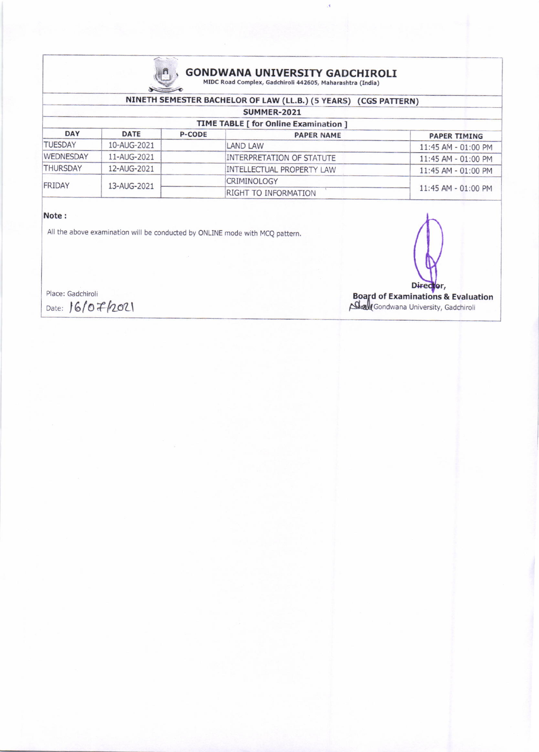

# **GONDWANA UNIVERSITY GADCHIROLI** MIDC Road Complex, Gadchiroli 442605, Maharashtra (India)

À

## NINETH SEMESTER BACHELOR OF LAW (LL.B.) (5 YEARS) (CGS PATTERN)

| <b>SUMMER-2021</b><br><b>TIME TABLE [ for Online Examination ]</b> |             |  |                                  |                       |  |  |
|--------------------------------------------------------------------|-------------|--|----------------------------------|-----------------------|--|--|
|                                                                    |             |  |                                  |                       |  |  |
| <b>TUESDAY</b>                                                     | 10-AUG-2021 |  | LAND LAW                         | 11:45 AM - 01:00 PM   |  |  |
| <b>WEDNESDAY</b>                                                   | 11-AUG-2021 |  | <b>INTERPRETATION OF STATUTE</b> | $11:45$ AM - 01:00 PM |  |  |
| <b>THURSDAY</b>                                                    | 12-AUG-2021 |  | <b>INTELLECTUAL PROPERTY LAW</b> | $11:45$ AM - 01:00 PM |  |  |
| FRIDAY                                                             | 13-AUG-2021 |  | <b>CRIMINOLOGY</b>               | 11:45 AM - 01:00 PM   |  |  |
|                                                                    |             |  | <b>RIGHT TO INFORMATION</b>      |                       |  |  |

#### Note:

All the above examination will be conducted by ONLINE mode with MCQ pattern.

Place: Gadchiroli Date: 16/07/2021



Board of Examinations & Evaluation<br>
Skall Gondwana University, Gadchiroli